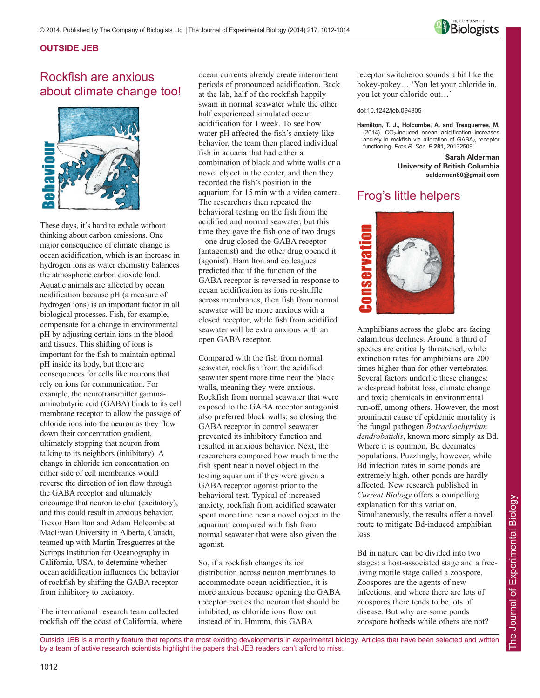

#### **OUTSIDE JEB**

# Rockfish are anxious about climate change too!



These days, it's hard to exhale without thinking about carbon emissions. One major consequence of climate change is ocean acidification, which is an increase in hydrogen ions as water chemistry balances the atmospheric carbon dioxide load. Aquatic animals are affected by ocean acidification because pH (a measure of hydrogen ions) is an important factor in all biological processes. Fish, for example, compensate for a change in environmental pH by adjusting certain ions in the blood and tissues. This shifting of ions is important for the fish to maintain optimal pH inside its body, but there are consequences for cells like neurons that rely on ions for communication. For example, the neurotransmitter gammaaminobutyric acid (GABA) binds to its cell membrane receptor to allow the passage of chloride ions into the neuron as they flow down their concentration gradient, ultimately stopping that neuron from talking to its neighbors (inhibitory). A change in chloride ion concentration on either side of cell membranes would reverse the direction of ion flow through the GABA receptor and ultimately encourage that neuron to chat (excitatory), and this could result in anxious behavior. Trevor Hamilton and Adam Holcombe at MacEwan University in Alberta, Canada, teamed up with Martin Tresguerres at the Scripps Institution for Oceanography in California, USA, to determine whether ocean acidification influences the behavior of rockfish by shifting the GABA receptor from inhibitory to excitatory. **Figure 12**<br>
These days, it's hard to exhale without thinking about carbon emissions. One major consequence of climate change is occan acidification because the demotyprement action state at a more in the majority balance

The international research team collected

ocean currents already create intermittent periods of pronounced acidification. Back at the lab, half of the rockfish happily swam in normal seawater while the other half experienced simulated ocean acidification for 1 week. To see how water pH affected the fish's anxiety-like behavior, the team then placed individual fish in aquaria that had either a combination of black and white walls or a novel object in the center, and then they recorded the fish's position in the aquarium for 15 min with a video camera. The researchers then repeated the behavioral testing on the fish from the acidified and normal seawater, but this time they gave the fish one of two drugs – one drug closed the GABA receptor (antagonist) and the other drug opened it (agonist). Hamilton and colleagues predicted that if the function of the GABA receptor is reversed in response to ocean acidification as ions re-shuffle across membranes, then fish from normal seawater will be more anxious with a closed receptor, while fish from acidified seawater will be extra anxious with an open GABA receptor.

Compared with the fish from normal seawater, rockfish from the acidified seawater spent more time near the black walls, meaning they were anxious. Rockfish from normal seawater that were exposed to the GABA receptor antagonist also preferred black walls; so closing the GABA receptor in control seawater prevented its inhibitory function and resulted in anxious behavior. Next, the researchers compared how much time the fish spent near a novel object in the testing aquarium if they were given a GABA receptor agonist prior to the behavioral test. Typical of increased anxiety, rockfish from acidified seawater spent more time near a novel object in the aquarium compared with fish from normal seawater that were also given the agonist.

So, if a rockfish changes its ion distribution across neuron membranes to accommodate ocean acidification, it is more anxious because opening the GABA receptor excites the neuron that should be inhibited, as chloride ions flow out instead of in. Hmmm, this GABA

receptor switcheroo sounds a bit like the hokey-pokey… 'You let your chloride in, you let your chloride out…'

doi:10.1242/jeb.094805

**Hamilton, T. J., Holcombe, A. and Tresguerres, M.** (2014).  $CO<sub>2</sub>$ -induced ocean acidification increases anxiety in rockfish via alteration of GABAA receptor functioning. *Proc R. Soc. B* **281**, 20132509.

> **Sarah Alderman University of British Columbia salderman80@gmail.com**

# Frog's little helpers



Amphibians across the globe are facing calamitous declines. Around a third of species are critically threatened, while extinction rates for amphibians are 200 times higher than for other vertebrates. Several factors underlie these changes: widespread habitat loss, climate change and toxic chemicals in environmental run-off, among others. However, the most prominent cause of epidemic mortality is the fungal pathogen *Batrachochytrium dendrobatidis*, known more simply as Bd. Where it is common, Bd decimates populations. Puzzlingly, however, while Bd infection rates in some ponds are extremely high, other ponds are hardly affected. New research published in *Current Biology* offers a compelling explanation for this variation. Simultaneously, the results offer a novel route to mitigate Bd-induced amphibian loss. **Example 18**<br> **Example 18**<br> **Amphibians across the globe are facing**<br>
calamitous declines. Around a third of<br>
species are critically threatened, while<br>
extinction rates for amphibians are 200<br>
times higher than for other v

Bd in nature can be divided into two stages: a host-associated stage and a freeliving motile stage called a zoospore. Zoospores are the agents of new infections, and where there are lots of zoospores there tends to be lots of disease. But why are some ponds<br>zoospore hotbeds while others are not?

Outside JEB is a monthly feature that reports the most exciting developments in experimental biology. Articles that have been selected and written by a team of active research scientists highlight the papers that JEB readers can't afford to miss.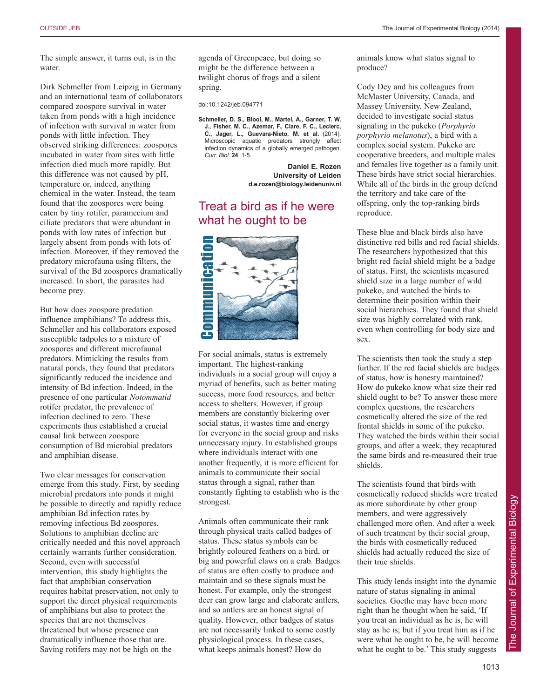The simple answer, it turns out, is in the water.

Dirk Schmeller from Leipzig in Germany and an international team of collaborators compared zoospore survival in water taken from ponds with a high incidence of infection with survival in water from ponds with little infection. They observed striking differences: zoospores incubated in water from sites with little infection died much more rapidly. But this difference was not caused by pH, temperature or, indeed, anything chemical in the water. Instead, the team found that the zoospores were being eaten by tiny rotifer, paramecium and ciliate predators that were abundant in ponds with low rates of infection but largely absent from ponds with lots of infection. Moreover, if they removed the predatory microfauna using filters, the survival of the Bd zoospores dramatically increased. In short, the parasites had become prey.

But how does zoospore predation influence amphibians? To address this, Schmeller and his collaborators exposed susceptible tadpoles to a mixture of zoospores and different microfaunal predators. Mimicking the results from natural ponds, they found that predators significantly reduced the incidence and intensity of Bd infection. Indeed, in the presence of one particular *Notommatid* rotifer predator, the prevalence of infection declined to zero. These experiments thus established a crucial causal link between zoospore consumption of Bd microbial predators and amphibian disease.

Two clear messages for conservation emerge from this study. First, by seeding microbial predators into ponds it might be possible to directly and rapidly reduce amphibian Bd infection rates by removing infectious Bd zoospores. Solutions to amphibian decline are critically needed and this novel approach certainly warrants further consideration. Second, even with successful intervention, this study highlights the fact that amphibian conservation requires habitat preservation, not only to support the direct physical requirements of amphibians but also to protect the species that are not themselves threatened but whose presence can dramatically influence those that are. Saving rotifers may not be high on the

agenda of Greenpeace, but doing so might be the difference between a twilight chorus of frogs and a silent spring.

doi:10.1242/jeb.094771

**Schmeller, D. S., Blooi, M., Martel, A., Garner, T. W. J., Fisher, M. C., Azemar, F., Clare, F. C., Leclerc, C., Jager, L., Guevara-Nieto, M. et al.** (2014). Microscopic aquatic predators strongly affect infection dynamics of a globally emerged pathogen. *Curr. Biol.* **24**, 1-5.

> **Daniel E. Rozen University of Leiden d.e.rozen@biology.leidenuniv.nl**

### Treat a bird as if he were what he ought to be



For social animals, status is extremely important. The highest-ranking individuals in a social group will enjoy a myriad of benefits, such as better mating success, more food resources, and better access to shelters. However, if group members are constantly bickering over social status, it wastes time and energy for everyone in the social group and risks unnecessary injury. In established groups where individuals interact with one another frequently, it is more efficient for animals to communicate their social status through a signal, rather than constantly fighting to establish who is the strongest. For social animals, status is extreme important. The highest-ranking individuals in a social group will enjoying of benefits, such as better may strate may strate as well success, nore food resources, and baccess to shelte

Animals often communicate their rank through physical traits called badges of status. These status symbols can be brightly coloured feathers on a bird, or big and powerful claws on a crab. Badges of status are often costly to produce and maintain and so these signals must be honest. For example, only the strongest deer can grow large and elaborate antlers, and so antlers are an honest signal of quality. However, other badges of status are not necessarily linked to some costly physiological process. In these cases,

animals know what status signal to produce?

Cody Dey and his colleagues from McMaster University, Canada, and Massey University, New Zealand, decided to investigate social status signaling in the pukeko (*Porphyrio porphyrio melanotus*), a bird with a complex social system. Pukeko are cooperative breeders, and multiple males and females live together as a family unit. These birds have strict social hierarchies. While all of the birds in the group defend the territory and take care of the offspring, only the top-ranking birds reproduce.

These blue and black birds also have distinctive red bills and red facial shields. The researchers hypothesized that this bright red facial shield might be a badge of status. First, the scientists measured shield size in a large number of wild pukeko, and watched the birds to determine their position within their social hierarchies. They found that shield size was highly correlated with rank, even when controlling for body size and sex.

The scientists then took the study a step further. If the red facial shields are badges of status, how is honesty maintained? How do pukeko know what size their red shield ought to be? To answer these more complex questions, the researchers cosmetically altered the size of the red frontal shields in some of the pukeko. They watched the birds within their social groups, and after a week, they recaptured the same birds and re-measured their true shields.

The scientists found that birds with cosmetically reduced shields were treated as more subordinate by other group members, and were aggressively challenged more often. And after a week of such treatment by their social group, the birds with cosmetically reduced shields had actually reduced the size of their true shields.

This study lends insight into the dynamic nature of status signaling in animal societies. Goethe may have been more right than he thought when he said, 'If you treat an individual as he is, he will stay as he is; but if you treat him as if he were what he ought to be, he will become what he ought to be.' This study suggests